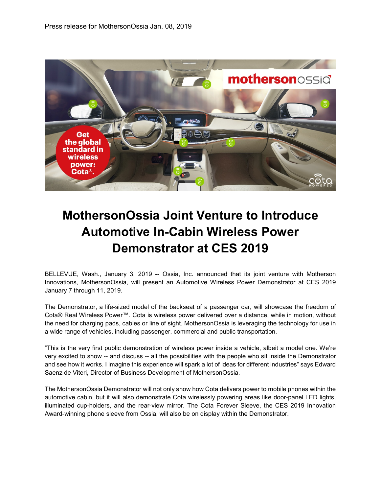

# **MothersonOssia Joint Venture to Introduce Automotive In-Cabin Wireless Power Demonstrator at CES 2019**

BELLEVUE, Wash., January 3, 2019 -- Ossia, Inc. announced that its joint venture with Motherson Innovations, MothersonOssia, will present an Automotive Wireless Power Demonstrator at CES 2019 January 7 through 11, 2019.

The Demonstrator, a life-sized model of the backseat of a passenger car, will showcase the freedom of Cota® Real Wireless Power™. Cota is wireless power delivered over a distance, while in motion, without the need for charging pads, cables or line of sight. MothersonOssia is leveraging the technology for use in a wide range of vehicles, including passenger, commercial and public transportation.

"This is the very first public demonstration of wireless power inside a vehicle, albeit a model one. We're very excited to show -- and discuss -- all the possibilities with the people who sit inside the Demonstrator and see how it works. I imagine this experience will spark a lot of ideas for different industries" says Edward Saenz de Viteri, Director of Business Development of MothersonOssia.

The MothersonOssia Demonstrator will not only show how Cota delivers power to mobile phones within the automotive cabin, but it will also demonstrate Cota wirelessly powering areas like door-panel LED lights, illuminated cup-holders, and the rear-view mirror. The Cota Forever Sleeve, the CES 2019 Innovation Award-winning phone sleeve from Ossia, will also be on display within the Demonstrator.